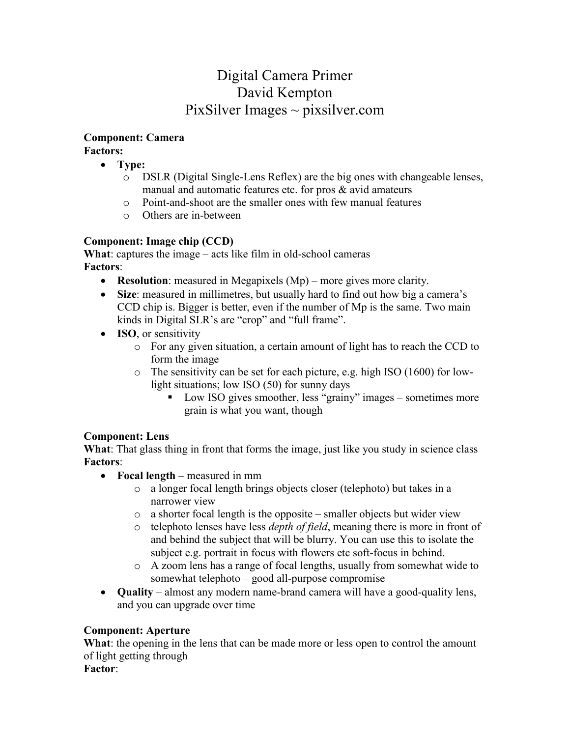## Digital Camera Primer David Kempton PixSilver Images  $\sim$  pixsilver.com

# **Component: Camera**

**Factors:**

- **Type:** 
	- o DSLR (Digital Single-Lens Reflex) are the big ones with changeable lenses, manual and automatic features etc. for pros & avid amateurs
	- o Point-and-shoot are the smaller ones with few manual features
	- o Others are in-between

#### **Component: Image chip (CCD)**

**What**: captures the image – acts like film in old-school cameras **Factors**:

- **Resolution**: measured in Megapixels (Mp) more gives more clarity.
- **Size**: measured in millimetres, but usually hard to find out how big a camera's CCD chip is. Bigger is better, even if the number of Mp is the same. Two main kinds in Digital SLR's are "crop" and "full frame".
- **ISO**, or sensitivity
	- o For any given situation, a certain amount of light has to reach the CCD to form the image
	- o The sensitivity can be set for each picture, e.g. high ISO (1600) for lowlight situations; low ISO (50) for sunny days
		- Low ISO gives smoother, less "grainy" images sometimes more grain is what you want, though

#### **Component: Lens**

**What**: That glass thing in front that forms the image, just like you study in science class **Factors**:

- **Focal length** measured in mm
	- o a longer focal length brings objects closer (telephoto) but takes in a narrower view
	- $\circ$  a shorter focal length is the opposite smaller objects but wider view
	- o telephoto lenses have less *depth of field*, meaning there is more in front of and behind the subject that will be blurry. You can use this to isolate the subject e.g. portrait in focus with flowers etc soft-focus in behind.
	- o A zoom lens has a range of focal lengths, usually from somewhat wide to somewhat telephoto – good all-purpose compromise
- **Quality** almost any modern name-brand camera will have a good-quality lens, and you can upgrade over time

#### **Component: Aperture**

**What**: the opening in the lens that can be made more or less open to control the amount of light getting through

**Factor**: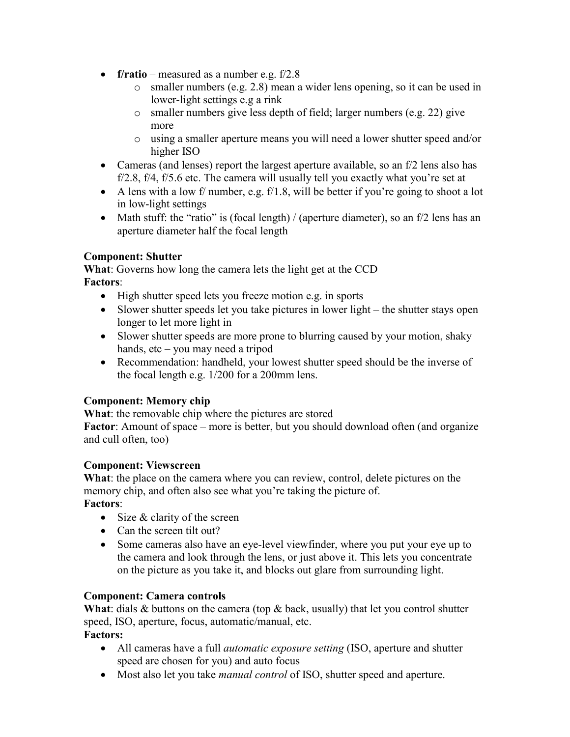- **f/ratio** measured as a number e.g. f/2.8
	- o smaller numbers (e.g. 2.8) mean a wider lens opening, so it can be used in lower-light settings e.g a rink
	- o smaller numbers give less depth of field; larger numbers (e.g. 22) give more
	- o using a smaller aperture means you will need a lower shutter speed and/or higher ISO
- Cameras (and lenses) report the largest aperture available, so an  $f/2$  lens also has f/2.8, f/4, f/5.6 etc. The camera will usually tell you exactly what you're set at
- A lens with a low f/ number, e.g.  $f/1.8$ , will be better if you're going to shoot a lot in low-light settings
- Math stuff: the "ratio" is (focal length) / (aperture diameter), so an f/2 lens has an aperture diameter half the focal length

#### **Component: Shutter**

**What**: Governs how long the camera lets the light get at the CCD **Factors**:

- High shutter speed lets you freeze motion e.g. in sports
- Slower shutter speeds let you take pictures in lower light the shutter stays open longer to let more light in
- Slower shutter speeds are more prone to blurring caused by your motion, shaky hands, etc – you may need a tripod
- Recommendation: handheld, your lowest shutter speed should be the inverse of the focal length e.g. 1/200 for a 200mm lens.

#### **Component: Memory chip**

**What**: the removable chip where the pictures are stored

**Factor**: Amount of space – more is better, but you should download often (and organize and cull often, too)

#### **Component: Viewscreen**

**What**: the place on the camera where you can review, control, delete pictures on the memory chip, and often also see what you're taking the picture of.

### **Factors**:

- $\bullet$  Size & clarity of the screen
- Can the screen tilt out?
- Some cameras also have an eye-level viewfinder, where you put your eye up to the camera and look through the lens, or just above it. This lets you concentrate on the picture as you take it, and blocks out glare from surrounding light.

#### **Component: Camera controls**

**What**: dials & buttons on the camera (top & back, usually) that let you control shutter speed, ISO, aperture, focus, automatic/manual, etc.

**Factors:**

- All cameras have a full *automatic exposure setting* (ISO, aperture and shutter speed are chosen for you) and auto focus
- Most also let you take *manual control* of ISO, shutter speed and aperture.